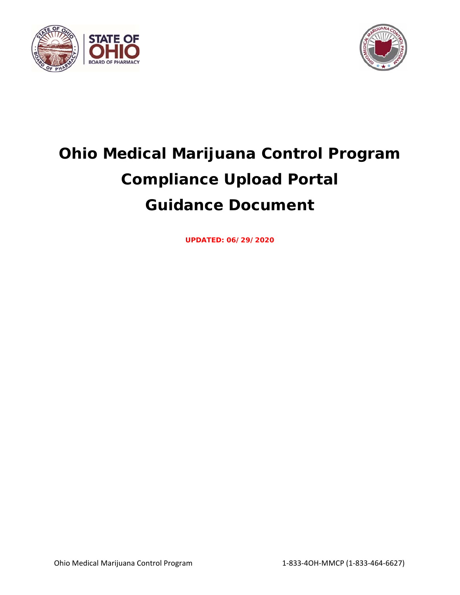



# **Ohio Medical Marijuana Control Program Compliance Upload Portal Guidance Document**

**UPDATED: 06/29/2020**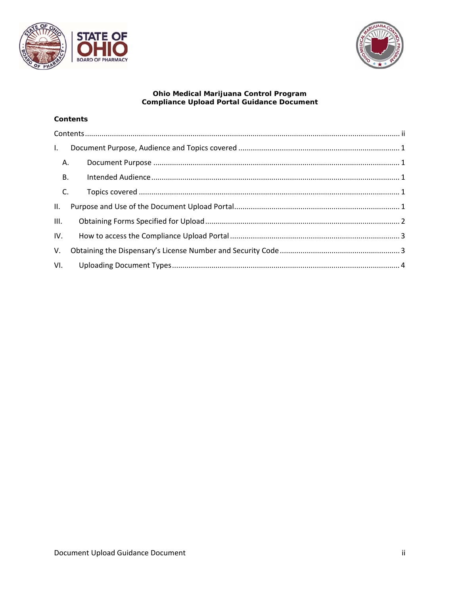



## Ohio Medical Marijuana Control Program<br>Compliance Upload Portal Guidance Document

#### **Contents**

| $\mathbf{L}$ |      |  |  |  |
|--------------|------|--|--|--|
| A.           |      |  |  |  |
| <b>B.</b>    |      |  |  |  |
| C.           |      |  |  |  |
| II.          |      |  |  |  |
|              | III. |  |  |  |
| IV.          |      |  |  |  |
| V.           |      |  |  |  |
|              |      |  |  |  |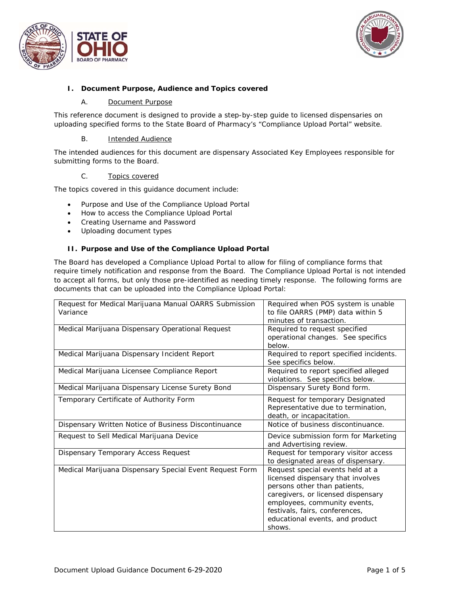



#### **I. Document Purpose, Audience and Topics covered**

#### A. Document Purpose

This reference document is designed to provide a step-by-step guide to licensed dispensaries on uploading specified forms to the State Board of Pharmacy's "Compliance Upload Portal" website.

#### B. Intended Audience

The intended audiences for this document are dispensary Associated Key Employees responsible for submitting forms to the Board.

#### C. Topics covered

The topics covered in this guidance document include:

- Purpose and Use of the Compliance Upload Portal
- How to access the Compliance Upload Portal
- Creating Username and Password
- Uploading document types

#### **II. Purpose and Use of the Compliance Upload Portal**

The Board has developed a Compliance Upload Portal to allow for filing of compliance forms that require timely notification and response from the Board. The Compliance Upload Portal is not intended to accept all forms, but only those pre-identified as needing timely response. The following forms are documents that can be uploaded into the Compliance Upload Portal:

| Request for Medical Marijuana Manual OARRS Submission<br>Variance | Required when POS system is unable<br>to file OARRS (PMP) data within 5<br>minutes of transaction.                                                                                                                                                         |
|-------------------------------------------------------------------|------------------------------------------------------------------------------------------------------------------------------------------------------------------------------------------------------------------------------------------------------------|
| Medical Marijuana Dispensary Operational Request                  | Required to request specified<br>operational changes. See specifics<br>below.                                                                                                                                                                              |
| Medical Marijuana Dispensary Incident Report                      | Required to report specified incidents.<br>See specifics below.                                                                                                                                                                                            |
| Medical Marijuana Licensee Compliance Report                      | Required to report specified alleged<br>violations. See specifics below.                                                                                                                                                                                   |
| Medical Marijuana Dispensary License Surety Bond                  | Dispensary Surety Bond form.                                                                                                                                                                                                                               |
| Temporary Certificate of Authority Form                           | Request for temporary Designated<br>Representative due to termination,<br>death, or incapacitation.                                                                                                                                                        |
| Dispensary Written Notice of Business Discontinuance              | Notice of business discontinuance.                                                                                                                                                                                                                         |
| Request to Sell Medical Marijuana Device                          | Device submission form for Marketing<br>and Advertising review.                                                                                                                                                                                            |
| Dispensary Temporary Access Request                               | Request for temporary visitor access<br>to designated areas of dispensary.                                                                                                                                                                                 |
| Medical Marijuana Dispensary Special Event Request Form           | Request special events held at a<br>licensed dispensary that involves<br>persons other than patients,<br>caregivers, or licensed dispensary<br>employees, community events,<br>festivals, fairs, conferences,<br>educational events, and product<br>shows. |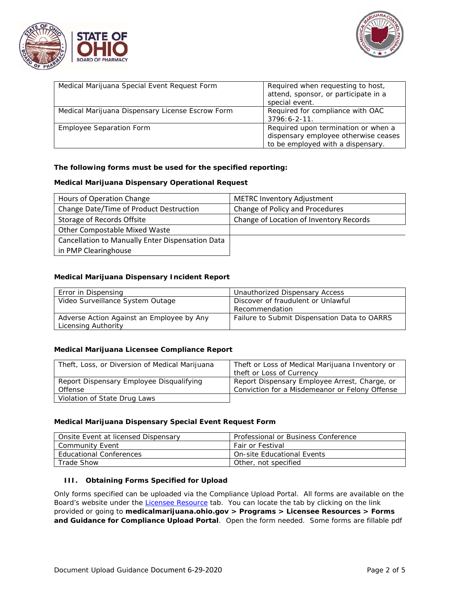



| Medical Marijuana Special Event Request Form     | Required when requesting to host,<br>attend, sponsor, or participate in a<br>special event.                      |
|--------------------------------------------------|------------------------------------------------------------------------------------------------------------------|
| Medical Marijuana Dispensary License Escrow Form | Required for compliance with OAC<br>$3796:6 - 2 - 11$ .                                                          |
| <b>Employee Separation Form</b>                  | Required upon termination or when a<br>dispensary employee otherwise ceases<br>to be employed with a dispensary. |

#### **The following forms must be used for the specified reporting:**

#### **Medical Marijuana Dispensary Operational Request**

| Hours of Operation Change                        | <b>METRC Inventory Adjustment</b>       |
|--------------------------------------------------|-----------------------------------------|
| Change Date/Time of Product Destruction          | Change of Policy and Procedures         |
| Storage of Records Offsite                       | Change of Location of Inventory Records |
| Other Compostable Mixed Waste                    |                                         |
| Cancellation to Manually Enter Dispensation Data |                                         |
| in PMP Clearinghouse                             |                                         |

#### **Medical Marijuana Dispensary Incident Report**

| Error in Dispensing                       | Unauthorized Dispensary Access               |
|-------------------------------------------|----------------------------------------------|
| Video Surveillance System Outage          | Discover of fraudulent or Unlawful           |
|                                           | Recommendation                               |
| Adverse Action Against an Employee by Any | Failure to Submit Dispensation Data to OARRS |
| Licensing Authority                       |                                              |

#### **Medical Marijuana Licensee Compliance Report**

| Theft, Loss, or Diversion of Medical Marijuana | Theft or Loss of Medical Marijuana Inventory or |
|------------------------------------------------|-------------------------------------------------|
|                                                | theft or Loss of Currency                       |
| Report Dispensary Employee Disqualifying       | Report Dispensary Employee Arrest, Charge, or   |
| Offense                                        | Conviction for a Misdemeanor or Felony Offense  |
| Violation of State Drug Laws                   |                                                 |

#### **Medical Marijuana Dispensary Special Event Request Form**

| Onsite Event at licensed Dispensary | Professional or Business Conference |
|-------------------------------------|-------------------------------------|
| Community Event                     | Fair or Festival                    |
| <b>Educational Conferences</b>      | On-site Educational Events          |
| Trade Show                          | Other, not specified                |

#### **III. Obtaining Forms Specified for Upload**

Only forms specified can be uploaded via the Compliance Upload Portal. All forms are available on the Board's website under the Licensee Resource tab. You can locate the tab by clicking on the link provided or going to **medicalmarijuana.ohio.gov > Programs > Licensee Resources > Forms and Guidance for Compliance Upload Portal**. Open the form needed. Some forms are fillable pdf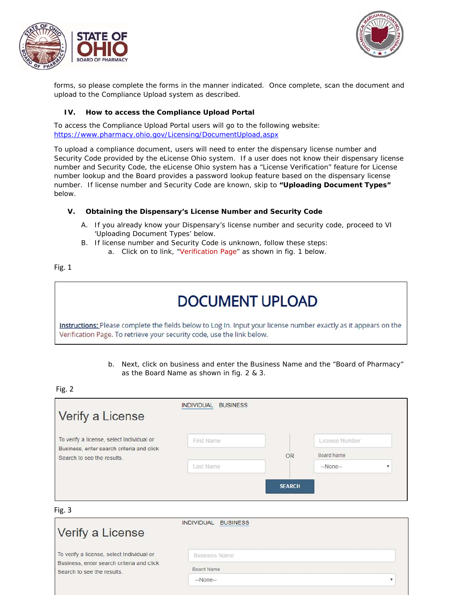



forms, so please complete the forms in the manner indicated. Once complete, scan the document and upload to the Compliance Upload system as described.

#### **IV. How to access the Compliance Upload Portal**

To access the Compliance Upload Portal users will go to the following website: https://www.pharmacy.ohio.gov/Licensing/DocumentUpload.aspx

To upload a compliance document, users will need to enter the dispensary license number and Security Code provided by the eLicense Ohio system. If a user does not know their dispensary license number and Security Code, the eLicense Ohio system has a "License Verification" feature for License number lookup and the Board provides a password lookup feature based on the dispensary license number. If license number and Security Code are known, skip to **"Uploading Document Types"** below.

#### **V. Obtaining the Dispensary's License Number and Security Code**

- A. If you already know your Dispensary's license number and security code, proceed to VI 'Uploading Document Types' below.
- B. If license number and Security Code is unknown, follow these steps:
	- a. Click on to link, "Verification Page" as shown in fig. 1 below.

#### Fig. 1

### **DOCUMENT UPLOAD**

Instructions: Please complete the fields below to Log In. Input your license number exactly as it appears on the Verification Page. To retrieve your security code, use the link below.

> b. Next, click on business and enter the Business Name and the "Board of Pharmacy" as the Board Name as shown in fig. 2 & 3.

#### Fig. 2

| First Name |           | License Number |  |
|------------|-----------|----------------|--|
|            | <b>OR</b> | Board Name     |  |
|            |           | $-None-$       |  |
|            | Last Name | <b>SEARCH</b>  |  |

#### Fig. 3

| Verify a License                                                        | <b>INDIVIDUAL</b><br><b>BUSINESS</b> |  |
|-------------------------------------------------------------------------|--------------------------------------|--|
| To verify a license, select Individual or                               | <b>Business Name</b>                 |  |
| Business, enter search criteria and click<br>Search to see the results. | Board Name                           |  |
|                                                                         | $-None-$                             |  |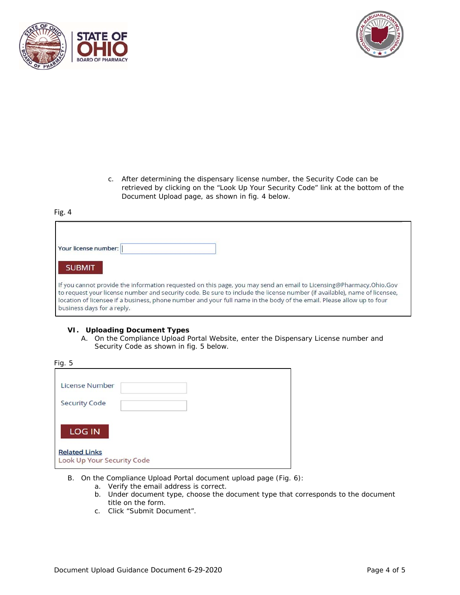



c. After determining the dispensary license number, the Security Code can be retrieved by clicking on the "Look Up Your Security Code" link at the bottom of the Document Upload page, as shown in fig. 4 below.

#### Fig. 4

| Your license number:                                                                                                                                                                                                                                                                                                                                                                                   |
|--------------------------------------------------------------------------------------------------------------------------------------------------------------------------------------------------------------------------------------------------------------------------------------------------------------------------------------------------------------------------------------------------------|
| <b>SUBMIT</b>                                                                                                                                                                                                                                                                                                                                                                                          |
| If you cannot provide the information requested on this page, you may send an email to Licensing@Pharmacy.Ohio.Gov<br>to request your license number and security code. Be sure to include the license number (if available), name of licensee,<br>location of licensee if a business, phone number and your full name in the body of the email. Please allow up to four<br>business days for a reply. |

#### **VI. Uploading Document Types**

A. On the Compliance Upload Portal Website, enter the Dispensary License number and Security Code as shown in fig. 5 below.

| Fig. 5                                             |  |
|----------------------------------------------------|--|
| License Number                                     |  |
| <b>Security Code</b>                               |  |
| <b>LOG IN</b>                                      |  |
| <b>Related Links</b><br>Look Up Your Security Code |  |

- B. On the Compliance Upload Portal document upload page (Fig. 6):
	- a. Verify the email address is correct.
	- b. Under document type, choose the document type that corresponds to the document title on the form.
	- c. Click "Submit Document".